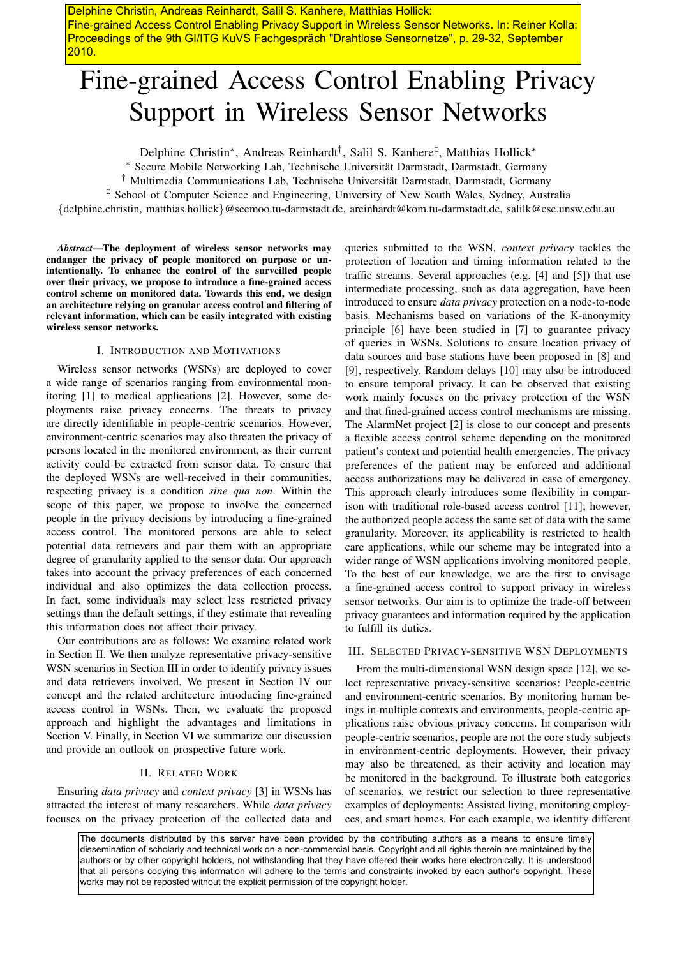Delphine Christin, Andreas Reinhardt, Salil S. Kanhere, Matthias Hollick: Fine-grained Access Control Enabling Privacy Support in Wireless Sensor Networks. In: Reiner Kolla: Proceedings of the 9th GI/ITG KuVS Fachgespräch "Drahtlose Sensornetze", p. 29-32, September 2010.

# Fine-grained Access Control Enabling Privacy Support in Wireless Sensor Networks

Delphine Christin<sup>\*</sup>, Andreas Reinhardt<sup>†</sup>, Salil S. Kanhere<sup>‡</sup>, Matthias Hollick<sup>\*</sup>

Secure Mobile Networking Lab, Technische Universität Darmstadt, Darmstadt, Germany

† Multimedia Communications Lab, Technische Universitat Darmstadt, Darmstadt, Germany ¨

‡ School of Computer Science and Engineering, University of New South Wales, Sydney, Australia

{delphine.christin, matthias.hollick}@seemoo.tu-darmstadt.de, areinhardt@kom.tu-darmstadt.de, salilk@cse.unsw.edu.au

*Abstract*—The deployment of wireless sensor networks may endanger the privacy of people monitored on purpose or unintentionally. To enhance the control of the surveilled people over their privacy, we propose to introduce a fine-grained access control scheme on monitored data. Towards this end, we design an architecture relying on granular access control and filtering of relevant information, which can be easily integrated with existing wireless sensor networks.

# I. INTRODUCTION AND MOTIVATIONS

Wireless sensor networks (WSNs) are deployed to cover a wide range of scenarios ranging from environmental monitoring [1] to medical applications [2]. However, some deployments raise privacy concerns. The threats to privacy are directly identifiable in people-centric scenarios. However, environment-centric scenarios may also threaten the privacy of persons located in the monitored environment, as their current activity could be extracted from sensor data. To ensure that the deployed WSNs are well-received in their communities, respecting privacy is a condition *sine qua non*. Within the scope of this paper, we propose to involve the concerned people in the privacy decisions by introducing a fine-grained access control. The monitored persons are able to select potential data retrievers and pair them with an appropriate degree of granularity applied to the sensor data. Our approach takes into account the privacy preferences of each concerned individual and also optimizes the data collection process. In fact, some individuals may select less restricted privacy settings than the default settings, if they estimate that revealing this information does not affect their privacy.

Our contributions are as follows: We examine related work in Section II. We then analyze representative privacy-sensitive WSN scenarios in Section III in order to identify privacy issues and data retrievers involved. We present in Section IV our concept and the related architecture introducing fine-grained access control in WSNs. Then, we evaluate the proposed approach and highlight the advantages and limitations in Section V. Finally, in Section VI we summarize our discussion and provide an outlook on prospective future work.

# II. RELATED WORK

Ensuring *data privacy* and *context privacy* [3] in WSNs has attracted the interest of many researchers. While *data privacy* focuses on the privacy protection of the collected data and

queries submitted to the WSN, *context privacy* tackles the protection of location and timing information related to the traffic streams. Several approaches (e.g. [4] and [5]) that use intermediate processing, such as data aggregation, have been introduced to ensure *data privacy* protection on a node-to-node basis. Mechanisms based on variations of the K-anonymity principle [6] have been studied in [7] to guarantee privacy of queries in WSNs. Solutions to ensure location privacy of data sources and base stations have been proposed in [8] and [9], respectively. Random delays [10] may also be introduced to ensure temporal privacy. It can be observed that existing work mainly focuses on the privacy protection of the WSN and that fined-grained access control mechanisms are missing. The AlarmNet project [2] is close to our concept and presents a flexible access control scheme depending on the monitored patient's context and potential health emergencies. The privacy preferences of the patient may be enforced and additional access authorizations may be delivered in case of emergency. This approach clearly introduces some flexibility in comparison with traditional role-based access control [11]; however, the authorized people access the same set of data with the same granularity. Moreover, its applicability is restricted to health care applications, while our scheme may be integrated into a wider range of WSN applications involving monitored people. To the best of our knowledge, we are the first to envisage a fine-grained access control to support privacy in wireless sensor networks. Our aim is to optimize the trade-off between privacy guarantees and information required by the application to fulfill its duties.

# III. SELECTED PRIVACY-SENSITIVE WSN DEPLOYMENTS

From the multi-dimensional WSN design space [12], we select representative privacy-sensitive scenarios: People-centric and environment-centric scenarios. By monitoring human beings in multiple contexts and environments, people-centric applications raise obvious privacy concerns. In comparison with people-centric scenarios, people are not the core study subjects in environment-centric deployments. However, their privacy may also be threatened, as their activity and location may be monitored in the background. To illustrate both categories of scenarios, we restrict our selection to three representative examples of deployments: Assisted living, monitoring employees, and smart homes. For each example, we identify different

The documents distributed by this server have been provided by the contributing authors as a means to ensure timely dissemination of scholarly and technical work on a non-commercial basis. Copyright and all rights therein are maintained by the authors or by other copyright holders, not withstanding that they have offered their works here electronically. It is understood that all persons copying this information will adhere to the terms and constraints invoked by each author's copyright. These works may not be reposted without the explicit permission of the copyright holder.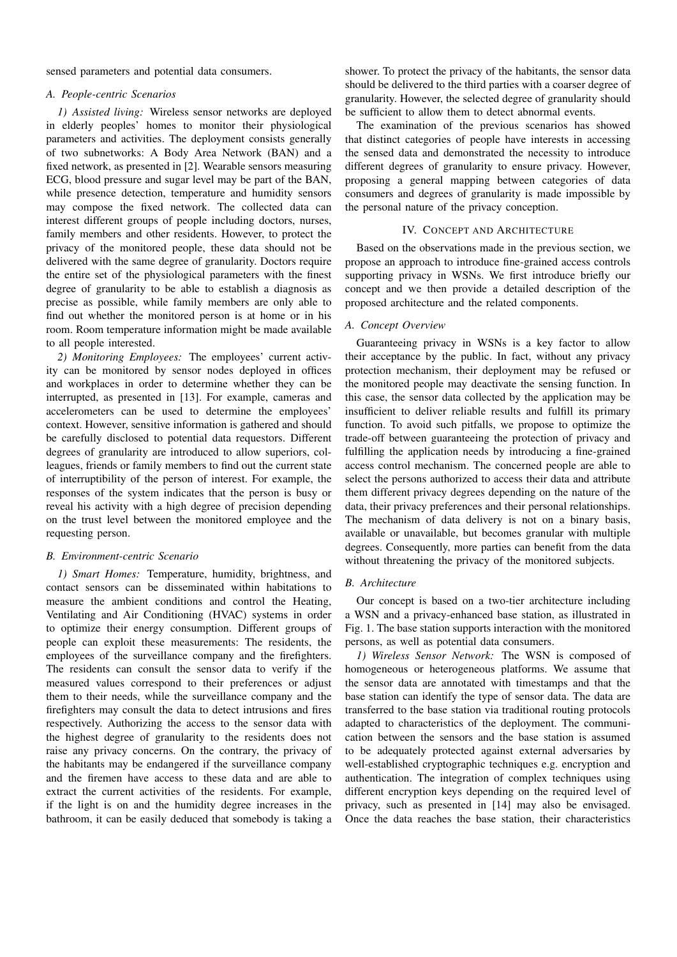sensed parameters and potential data consumers.

# *A. People-centric Scenarios*

*1) Assisted living:* Wireless sensor networks are deployed in elderly peoples' homes to monitor their physiological parameters and activities. The deployment consists generally of two subnetworks: A Body Area Network (BAN) and a fixed network, as presented in [2]. Wearable sensors measuring ECG, blood pressure and sugar level may be part of the BAN, while presence detection, temperature and humidity sensors may compose the fixed network. The collected data can interest different groups of people including doctors, nurses, family members and other residents. However, to protect the privacy of the monitored people, these data should not be delivered with the same degree of granularity. Doctors require the entire set of the physiological parameters with the finest degree of granularity to be able to establish a diagnosis as precise as possible, while family members are only able to find out whether the monitored person is at home or in his room. Room temperature information might be made available to all people interested.

*2) Monitoring Employees:* The employees' current activity can be monitored by sensor nodes deployed in offices and workplaces in order to determine whether they can be interrupted, as presented in [13]. For example, cameras and accelerometers can be used to determine the employees' context. However, sensitive information is gathered and should be carefully disclosed to potential data requestors. Different degrees of granularity are introduced to allow superiors, colleagues, friends or family members to find out the current state of interruptibility of the person of interest. For example, the responses of the system indicates that the person is busy or reveal his activity with a high degree of precision depending on the trust level between the monitored employee and the requesting person.

# *B. Environment-centric Scenario*

*1) Smart Homes:* Temperature, humidity, brightness, and contact sensors can be disseminated within habitations to measure the ambient conditions and control the Heating, Ventilating and Air Conditioning (HVAC) systems in order to optimize their energy consumption. Different groups of people can exploit these measurements: The residents, the employees of the surveillance company and the firefighters. The residents can consult the sensor data to verify if the measured values correspond to their preferences or adjust them to their needs, while the surveillance company and the firefighters may consult the data to detect intrusions and fires respectively. Authorizing the access to the sensor data with the highest degree of granularity to the residents does not raise any privacy concerns. On the contrary, the privacy of the habitants may be endangered if the surveillance company and the firemen have access to these data and are able to extract the current activities of the residents. For example, if the light is on and the humidity degree increases in the bathroom, it can be easily deduced that somebody is taking a

shower. To protect the privacy of the habitants, the sensor data should be delivered to the third parties with a coarser degree of granularity. However, the selected degree of granularity should be sufficient to allow them to detect abnormal events.

The examination of the previous scenarios has showed that distinct categories of people have interests in accessing the sensed data and demonstrated the necessity to introduce different degrees of granularity to ensure privacy. However, proposing a general mapping between categories of data consumers and degrees of granularity is made impossible by the personal nature of the privacy conception.

## IV. CONCEPT AND ARCHITECTURE

Based on the observations made in the previous section, we propose an approach to introduce fine-grained access controls supporting privacy in WSNs. We first introduce briefly our concept and we then provide a detailed description of the proposed architecture and the related components.

#### *A. Concept Overview*

Guaranteeing privacy in WSNs is a key factor to allow their acceptance by the public. In fact, without any privacy protection mechanism, their deployment may be refused or the monitored people may deactivate the sensing function. In this case, the sensor data collected by the application may be insufficient to deliver reliable results and fulfill its primary function. To avoid such pitfalls, we propose to optimize the trade-off between guaranteeing the protection of privacy and fulfilling the application needs by introducing a fine-grained access control mechanism. The concerned people are able to select the persons authorized to access their data and attribute them different privacy degrees depending on the nature of the data, their privacy preferences and their personal relationships. The mechanism of data delivery is not on a binary basis, available or unavailable, but becomes granular with multiple degrees. Consequently, more parties can benefit from the data without threatening the privacy of the monitored subjects.

## *B. Architecture*

Our concept is based on a two-tier architecture including a WSN and a privacy-enhanced base station, as illustrated in Fig. 1. The base station supports interaction with the monitored persons, as well as potential data consumers.

*1) Wireless Sensor Network:* The WSN is composed of homogeneous or heterogeneous platforms. We assume that the sensor data are annotated with timestamps and that the base station can identify the type of sensor data. The data are transferred to the base station via traditional routing protocols adapted to characteristics of the deployment. The communication between the sensors and the base station is assumed to be adequately protected against external adversaries by well-established cryptographic techniques e.g. encryption and authentication. The integration of complex techniques using different encryption keys depending on the required level of privacy, such as presented in [14] may also be envisaged. Once the data reaches the base station, their characteristics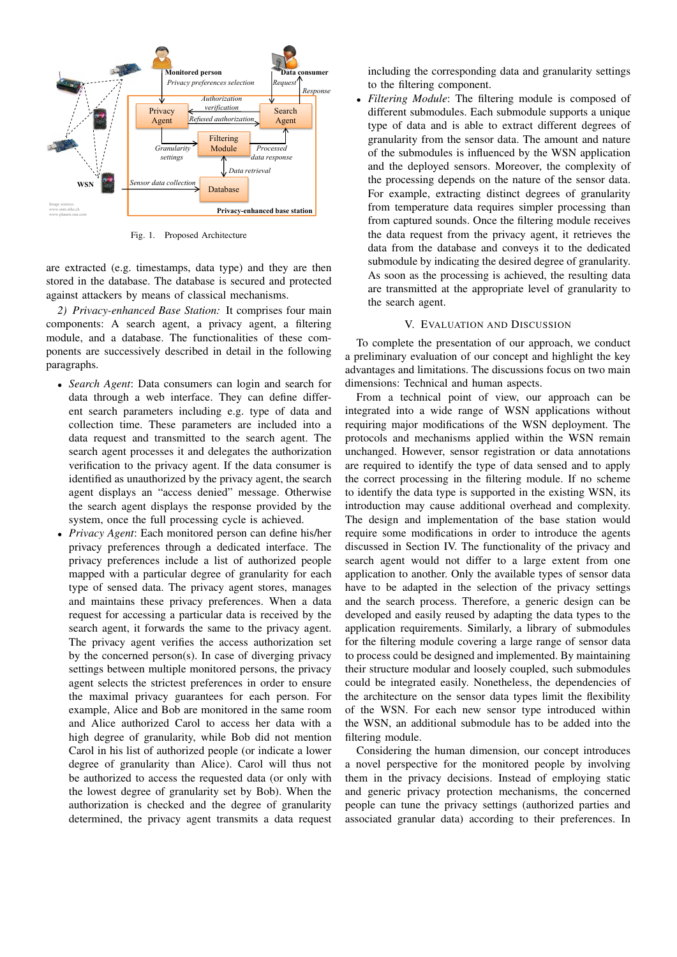

Fig. 1. Proposed Architecture

are extracted (e.g. timestamps, data type) and they are then stored in the database. The database is secured and protected against attackers by means of classical mechanisms.

*2) Privacy-enhanced Base Station:* It comprises four main components: A search agent, a privacy agent, a filtering module, and a database. The functionalities of these components are successively described in detail in the following paragraphs.

- *Search Agent*: Data consumers can login and search for data through a web interface. They can define different search parameters including e.g. type of data and collection time. These parameters are included into a data request and transmitted to the search agent. The search agent processes it and delegates the authorization verification to the privacy agent. If the data consumer is identified as unauthorized by the privacy agent, the search agent displays an "access denied" message. Otherwise the search agent displays the response provided by the system, once the full processing cycle is achieved.
- *Privacy Agent*: Each monitored person can define his/her privacy preferences through a dedicated interface. The privacy preferences include a list of authorized people mapped with a particular degree of granularity for each type of sensed data. The privacy agent stores, manages and maintains these privacy preferences. When a data request for accessing a particular data is received by the search agent, it forwards the same to the privacy agent. The privacy agent verifies the access authorization set by the concerned person(s). In case of diverging privacy settings between multiple monitored persons, the privacy agent selects the strictest preferences in order to ensure the maximal privacy guarantees for each person. For example, Alice and Bob are monitored in the same room and Alice authorized Carol to access her data with a high degree of granularity, while Bob did not mention Carol in his list of authorized people (or indicate a lower degree of granularity than Alice). Carol will thus not be authorized to access the requested data (or only with the lowest degree of granularity set by Bob). When the authorization is checked and the degree of granularity determined, the privacy agent transmits a data request

including the corresponding data and granularity settings to the filtering component.

• *Filtering Module*: The filtering module is composed of different submodules. Each submodule supports a unique type of data and is able to extract different degrees of granularity from the sensor data. The amount and nature of the submodules is influenced by the WSN application and the deployed sensors. Moreover, the complexity of the processing depends on the nature of the sensor data. For example, extracting distinct degrees of granularity from temperature data requires simpler processing than from captured sounds. Once the filtering module receives the data request from the privacy agent, it retrieves the data from the database and conveys it to the dedicated submodule by indicating the desired degree of granularity. As soon as the processing is achieved, the resulting data are transmitted at the appropriate level of granularity to the search agent.

### V. EVALUATION AND DISCUSSION

To complete the presentation of our approach, we conduct a preliminary evaluation of our concept and highlight the key advantages and limitations. The discussions focus on two main dimensions: Technical and human aspects.

From a technical point of view, our approach can be integrated into a wide range of WSN applications without requiring major modifications of the WSN deployment. The protocols and mechanisms applied within the WSN remain unchanged. However, sensor registration or data annotations are required to identify the type of data sensed and to apply the correct processing in the filtering module. If no scheme to identify the data type is supported in the existing WSN, its introduction may cause additional overhead and complexity. The design and implementation of the base station would require some modifications in order to introduce the agents discussed in Section IV. The functionality of the privacy and search agent would not differ to a large extent from one application to another. Only the available types of sensor data have to be adapted in the selection of the privacy settings and the search process. Therefore, a generic design can be developed and easily reused by adapting the data types to the application requirements. Similarly, a library of submodules for the filtering module covering a large range of sensor data to process could be designed and implemented. By maintaining their structure modular and loosely coupled, such submodules could be integrated easily. Nonetheless, the dependencies of the architecture on the sensor data types limit the flexibility of the WSN. For each new sensor type introduced within the WSN, an additional submodule has to be added into the filtering module.

Considering the human dimension, our concept introduces a novel perspective for the monitored people by involving them in the privacy decisions. Instead of employing static and generic privacy protection mechanisms, the concerned people can tune the privacy settings (authorized parties and associated granular data) according to their preferences. In